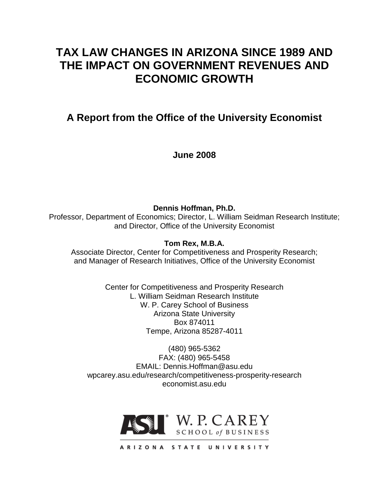# **TAX LAW CHANGES IN ARIZONA SINCE 1989 AND THE IMPACT ON GOVERNMENT REVENUES AND ECONOMIC GROWTH**

**A Report from the Office of the University Economist**

**June 2008**

**Dennis Hoffman, Ph.D.** Professor, Department of Economics; Director, L. William Seidman Research Institute; and Director, Office of the University Economist

**Tom Rex, M.B.A.**

Associate Director, Center for Competitiveness and Prosperity Research; and Manager of Research Initiatives, Office of the University Economist

> Center for Competitiveness and Prosperity Research L. William Seidman Research Institute W. P. Carey School of Business Arizona State University Box 874011 Tempe, Arizona 85287-4011

(480) 965-5362 FAX: (480) 965-5458 EMAIL: Dennis.Hoffman@asu.edu wpcarey.asu.edu/research/competitiveness-prosperity-research economist.asu.edu

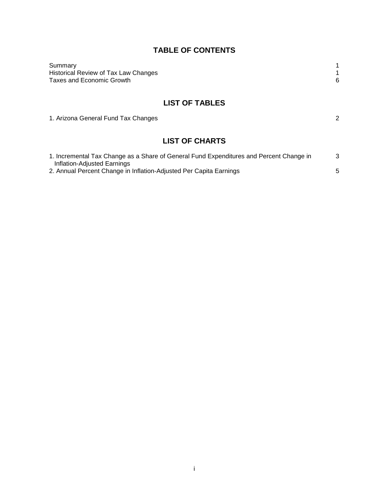# **TABLE OF CONTENTS**

| Summary                              |  |
|--------------------------------------|--|
| Historical Review of Tax Law Changes |  |
| Taxes and Economic Growth            |  |
|                                      |  |

# **LIST OF TABLES**

1. Arizona General Fund Tax Changes 2

# **LIST OF CHARTS**

| 1. Incremental Tax Change as a Share of General Fund Expenditures and Percent Change in |  |
|-----------------------------------------------------------------------------------------|--|
| Inflation-Adjusted Earnings                                                             |  |
| 2. Annual Percent Change in Inflation-Adjusted Per Capita Earnings                      |  |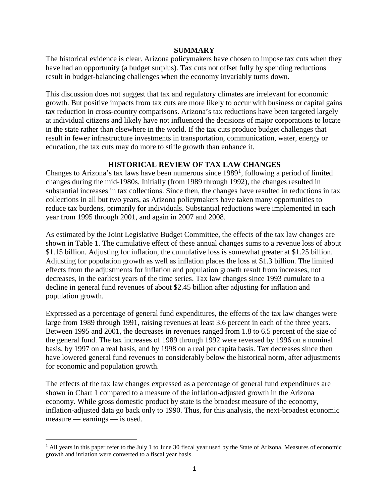#### **SUMMARY**

The historical evidence is clear. Arizona policymakers have chosen to impose tax cuts when they have had an opportunity (a budget surplus). Tax cuts not offset fully by spending reductions result in budget-balancing challenges when the economy invariably turns down.

This discussion does not suggest that tax and regulatory climates are irrelevant for economic growth. But positive impacts from tax cuts are more likely to occur with business or capital gains tax reduction in cross-country comparisons. Arizona's tax reductions have been targeted largely at individual citizens and likely have not influenced the decisions of major corporations to locate in the state rather than elsewhere in the world. If the tax cuts produce budget challenges that result in fewer infrastructure investments in transportation, communication, water, energy or education, the tax cuts may do more to stifle growth than enhance it.

## **HISTORICAL REVIEW OF TAX LAW CHANGES**

Changes to Arizona's tax laws have been numerous since  $1989<sup>1</sup>$  $1989<sup>1</sup>$ , following a period of limited changes during the mid-1980s. Initially (from 1989 through 1992), the changes resulted in substantial increases in tax collections. Since then, the changes have resulted in reductions in tax collections in all but two years, as Arizona policymakers have taken many opportunities to reduce tax burdens, primarily for individuals. Substantial reductions were implemented in each year from 1995 through 2001, and again in 2007 and 2008.

As estimated by the Joint Legislative Budget Committee, the effects of the tax law changes are shown in Table 1. The cumulative effect of these annual changes sums to a revenue loss of about \$1.15 billion. Adjusting for inflation, the cumulative loss is somewhat greater at \$1.25 billion. Adjusting for population growth as well as inflation places the loss at \$1.3 billion. The limited effects from the adjustments for inflation and population growth result from increases, not decreases, in the earliest years of the time series. Tax law changes since 1993 cumulate to a decline in general fund revenues of about \$2.45 billion after adjusting for inflation and population growth.

Expressed as a percentage of general fund expenditures, the effects of the tax law changes were large from 1989 through 1991, raising revenues at least 3.6 percent in each of the three years. Between 1995 and 2001, the decreases in revenues ranged from 1.8 to 6.5 percent of the size of the general fund. The tax increases of 1989 through 1992 were reversed by 1996 on a nominal basis, by 1997 on a real basis, and by 1998 on a real per capita basis. Tax decreases since then have lowered general fund revenues to considerably below the historical norm, after adjustments for economic and population growth.

The effects of the tax law changes expressed as a percentage of general fund expenditures are shown in Chart 1 compared to a measure of the inflation-adjusted growth in the Arizona economy. While gross domestic product by state is the broadest measure of the economy, inflation-adjusted data go back only to 1990. Thus, for this analysis, the next-broadest economic measure — earnings — is used.

 $\overline{a}$ 

<span id="page-2-0"></span> $<sup>1</sup>$  All years in this paper refer to the July 1 to June 30 fiscal year used by the State of Arizona. Measures of economic</sup> growth and inflation were converted to a fiscal year basis.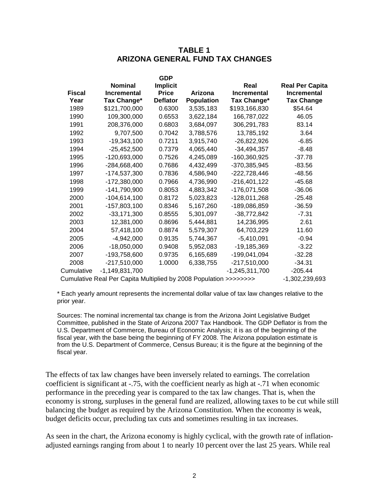## **TABLE 1 ARIZONA GENERAL FUND TAX CHANGES**

|                                                                   |                    | <b>GDP</b>      |                   |                    |                        |
|-------------------------------------------------------------------|--------------------|-----------------|-------------------|--------------------|------------------------|
|                                                                   | <b>Nominal</b>     | <b>Implicit</b> |                   | Real               | <b>Real Per Capita</b> |
| <b>Fiscal</b>                                                     | <b>Incremental</b> | <b>Price</b>    | Arizona           | <b>Incremental</b> | <b>Incremental</b>     |
| Year                                                              | Tax Change*        | <b>Deflator</b> | <b>Population</b> | Tax Change*        | <b>Tax Change</b>      |
| 1989                                                              | \$121,700,000      | 0.6300          | 3,535,183         | \$193,166,830      | \$54.64                |
| 1990                                                              | 109,300,000        | 0.6553          | 3,622,184         | 166,787,022        | 46.05                  |
| 1991                                                              | 208,376,000        | 0.6803          | 3,684,097         | 306,291,783        | 83.14                  |
| 1992                                                              | 9,707,500          | 0.7042          | 3,788,576         | 13,785,192         | 3.64                   |
| 1993                                                              | $-19,343,100$      | 0.7211          | 3,915,740         | $-26,822,926$      | $-6.85$                |
| 1994                                                              | $-25,452,500$      | 0.7379          | 4,065,440         | $-34,494,357$      | $-8.48$                |
| 1995                                                              | -120,693,000       | 0.7526          | 4,245,089         | -160,360,925       | $-37.78$               |
| 1996                                                              | $-284,668,400$     | 0.7686          | 4,432,499         | -370,385,945       | $-83.56$               |
| 1997                                                              | $-174,537,300$     | 0.7836          | 4,586,940         | $-222,728,446$     | -48.56                 |
| 1998                                                              | $-172,380,000$     | 0.7966          | 4,736,990         | $-216,401,122$     | $-45.68$               |
| 1999                                                              | $-141,790,900$     | 0.8053          | 4,883,342         | -176,071,508       | $-36.06$               |
| 2000                                                              | $-104,614,100$     | 0.8172          | 5,023,823         | -128,011,268       | $-25.48$               |
| 2001                                                              | $-157,803,100$     | 0.8346          | 5,167,260         | -189,086,859       | $-36.59$               |
| 2002                                                              | $-33,171,300$      | 0.8555          | 5,301,097         | $-38,772,842$      | $-7.31$                |
| 2003                                                              | 12,381,000         | 0.8696          | 5,444,881         | 14,236,995         | 2.61                   |
| 2004                                                              | 57,418,100         | 0.8874          | 5,579,307         | 64,703,229         | 11.60                  |
| 2005                                                              | $-4,942,000$       | 0.9135          | 5,744,367         | $-5,410,091$       | $-0.94$                |
| 2006                                                              | $-18,050,000$      | 0.9408          | 5,952,083         | $-19, 185, 369$    | $-3.22$                |
| 2007                                                              | -193,758,600       | 0.9735          | 6,165,689         | -199,041,094       | $-32.28$               |
| 2008                                                              | $-217,510,000$     | 1.0000          | 6,338,755         | $-217,510,000$     | $-34.31$               |
| Cumulative                                                        | $-1,149,831,700$   |                 |                   | $-1,245,311,700$   | $-205.44$              |
| Cumulative Real Per Capita Multiplied by 2008 Population >>>>>>>> |                    |                 |                   |                    | -1,302,239,693         |

\* Each yearly amount represents the incremental dollar value of tax law changes relative to the prior year.

Sources: The nominal incremental tax change is from the Arizona Joint Legislative Budget Committee, published in the State of Arizona 2007 Tax Handbook. The GDP Deflator is from the U.S. Department of Commerce, Bureau of Economic Analysis; it is as of the beginning of the fiscal year, with the base being the beginning of FY 2008. The Arizona population estimate is from the U.S. Department of Commerce, Census Bureau; it is the figure at the beginning of the fiscal year.

The effects of tax law changes have been inversely related to earnings. The correlation coefficient is significant at -.75, with the coefficient nearly as high at -.71 when economic performance in the preceding year is compared to the tax law changes. That is, when the economy is strong, surpluses in the general fund are realized, allowing taxes to be cut while still balancing the budget as required by the Arizona Constitution. When the economy is weak, budget deficits occur, precluding tax cuts and sometimes resulting in tax increases.

As seen in the chart, the Arizona economy is highly cyclical, with the growth rate of inflationadjusted earnings ranging from about 1 to nearly 10 percent over the last 25 years. While real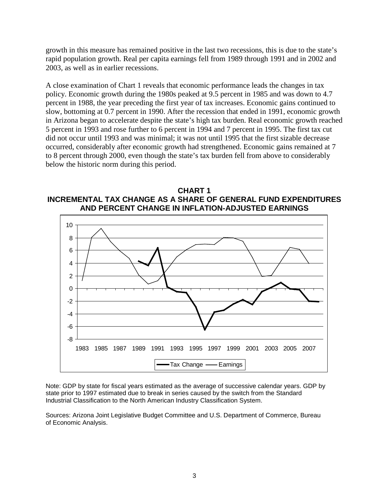growth in this measure has remained positive in the last two recessions, this is due to the state's rapid population growth. Real per capita earnings fell from 1989 through 1991 and in 2002 and 2003, as well as in earlier recessions.

A close examination of Chart 1 reveals that economic performance leads the changes in tax policy. Economic growth during the 1980s peaked at 9.5 percent in 1985 and was down to 4.7 percent in 1988, the year preceding the first year of tax increases. Economic gains continued to slow, bottoming at 0.7 percent in 1990. After the recession that ended in 1991, economic growth in Arizona began to accelerate despite the state's high tax burden. Real economic growth reached 5 percent in 1993 and rose further to 6 percent in 1994 and 7 percent in 1995. The first tax cut did not occur until 1993 and was minimal; it was not until 1995 that the first sizable decrease occurred, considerably after economic growth had strengthened. Economic gains remained at 7 to 8 percent through 2000, even though the state's tax burden fell from above to considerably below the historic norm during this period.

**CHART 1 INCREMENTAL TAX CHANGE AS A SHARE OF GENERAL FUND EXPENDITURES AND PERCENT CHANGE IN INFLATION-ADJUSTED EARNINGS**



Note: GDP by state for fiscal years estimated as the average of successive calendar years. GDP by state prior to 1997 estimated due to break in series caused by the switch from the Standard Industrial Classification to the North American Industry Classification System.

Sources: Arizona Joint Legislative Budget Committee and U.S. Department of Commerce, Bureau of Economic Analysis.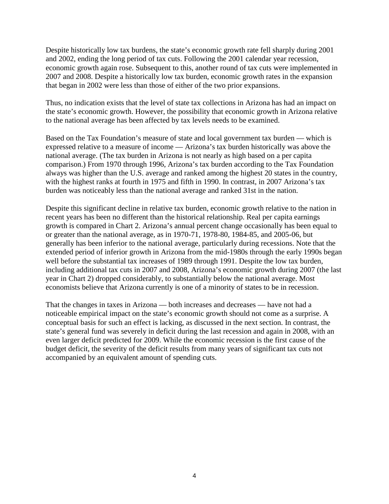Despite historically low tax burdens, the state's economic growth rate fell sharply during 2001 and 2002, ending the long period of tax cuts. Following the 2001 calendar year recession, economic growth again rose. Subsequent to this, another round of tax cuts were implemented in 2007 and 2008. Despite a historically low tax burden, economic growth rates in the expansion that began in 2002 were less than those of either of the two prior expansions.

Thus, no indication exists that the level of state tax collections in Arizona has had an impact on the state's economic growth. However, the possibility that economic growth in Arizona relative to the national average has been affected by tax levels needs to be examined.

Based on the Tax Foundation's measure of state and local government tax burden — which is expressed relative to a measure of income — Arizona's tax burden historically was above the national average. (The tax burden in Arizona is not nearly as high based on a per capita comparison.) From 1970 through 1996, Arizona's tax burden according to the Tax Foundation always was higher than the U.S. average and ranked among the highest 20 states in the country, with the highest ranks at fourth in 1975 and fifth in 1990. In contrast, in 2007 Arizona's tax burden was noticeably less than the national average and ranked 31st in the nation.

Despite this significant decline in relative tax burden, economic growth relative to the nation in recent years has been no different than the historical relationship. Real per capita earnings growth is compared in Chart 2. Arizona's annual percent change occasionally has been equal to or greater than the national average, as in 1970-71, 1978-80, 1984-85, and 2005-06, but generally has been inferior to the national average, particularly during recessions. Note that the extended period of inferior growth in Arizona from the mid-1980s through the early 1990s began well before the substantial tax increases of 1989 through 1991. Despite the low tax burden, including additional tax cuts in 2007 and 2008, Arizona's economic growth during 2007 (the last year in Chart 2) dropped considerably, to substantially below the national average. Most economists believe that Arizona currently is one of a minority of states to be in recession.

That the changes in taxes in Arizona — both increases and decreases — have not had a noticeable empirical impact on the state's economic growth should not come as a surprise. A conceptual basis for such an effect is lacking, as discussed in the next section. In contrast, the state's general fund was severely in deficit during the last recession and again in 2008, with an even larger deficit predicted for 2009. While the economic recession is the first cause of the budget deficit, the severity of the deficit results from many years of significant tax cuts not accompanied by an equivalent amount of spending cuts.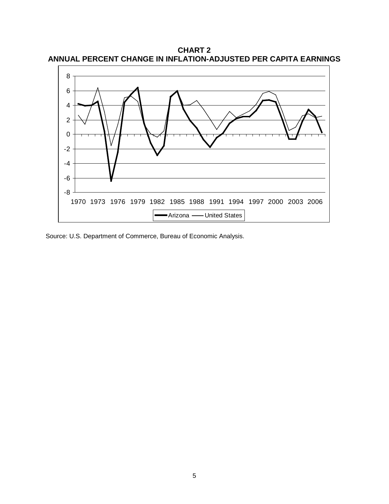**CHART 2 ANNUAL PERCENT CHANGE IN INFLATION-ADJUSTED PER CAPITA EARNINGS**



Source: U.S. Department of Commerce, Bureau of Economic Analysis.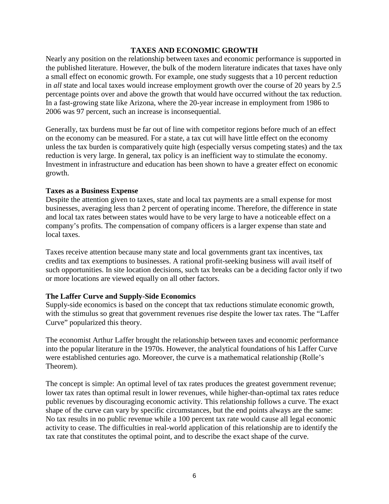## **TAXES AND ECONOMIC GROWTH**

Nearly any position on the relationship between taxes and economic performance is supported in the published literature. However, the bulk of the modern literature indicates that taxes have only a small effect on economic growth. For example, one study suggests that a 10 percent reduction in *all* state and local taxes would increase employment growth over the course of 20 years by 2.5 percentage points over and above the growth that would have occurred without the tax reduction. In a fast-growing state like Arizona, where the 20-year increase in employment from 1986 to 2006 was 97 percent, such an increase is inconsequential.

Generally, tax burdens must be far out of line with competitor regions before much of an effect on the economy can be measured. For a state, a tax cut will have little effect on the economy unless the tax burden is comparatively quite high (especially versus competing states) and the tax reduction is very large. In general, tax policy is an inefficient way to stimulate the economy. Investment in infrastructure and education has been shown to have a greater effect on economic growth.

#### **Taxes as a Business Expense**

Despite the attention given to taxes, state and local tax payments are a small expense for most businesses, averaging less than 2 percent of operating income. Therefore, the difference in state and local tax rates between states would have to be very large to have a noticeable effect on a company's profits. The compensation of company officers is a larger expense than state and local taxes.

Taxes receive attention because many state and local governments grant tax incentives, tax credits and tax exemptions to businesses. A rational profit-seeking business will avail itself of such opportunities. In site location decisions, such tax breaks can be a deciding factor only if two or more locations are viewed equally on all other factors.

## **The Laffer Curve and Supply-Side Economics**

Supply-side economics is based on the concept that tax reductions stimulate economic growth, with the stimulus so great that government revenues rise despite the lower tax rates. The "Laffer Curve" popularized this theory.

The economist Arthur Laffer brought the relationship between taxes and economic performance into the popular literature in the 1970s. However, the analytical foundations of his Laffer Curve were established centuries ago. Moreover, the curve is a mathematical relationship (Rolle's Theorem).

The concept is simple: An optimal level of tax rates produces the greatest government revenue; lower tax rates than optimal result in lower revenues, while higher-than-optimal tax rates reduce public revenues by discouraging economic activity. This relationship follows a curve. The exact shape of the curve can vary by specific circumstances, but the end points always are the same: No tax results in no public revenue while a 100 percent tax rate would cause all legal economic activity to cease. The difficulties in real-world application of this relationship are to identify the tax rate that constitutes the optimal point, and to describe the exact shape of the curve.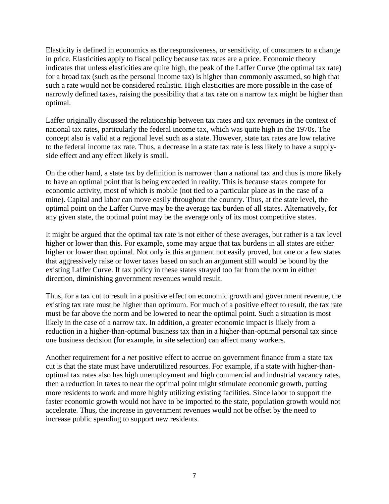Elasticity is defined in economics as the responsiveness, or sensitivity, of consumers to a change in price. Elasticities apply to fiscal policy because tax rates are a price. Economic theory indicates that unless elasticities are quite high, the peak of the Laffer Curve (the optimal tax rate) for a broad tax (such as the personal income tax) is higher than commonly assumed, so high that such a rate would not be considered realistic. High elasticities are more possible in the case of narrowly defined taxes, raising the possibility that a tax rate on a narrow tax might be higher than optimal.

Laffer originally discussed the relationship between tax rates and tax revenues in the context of national tax rates, particularly the federal income tax, which was quite high in the 1970s. The concept also is valid at a regional level such as a state. However, state tax rates are low relative to the federal income tax rate. Thus, a decrease in a state tax rate is less likely to have a supplyside effect and any effect likely is small.

On the other hand, a state tax by definition is narrower than a national tax and thus is more likely to have an optimal point that is being exceeded in reality. This is because states compete for economic activity, most of which is mobile (not tied to a particular place as in the case of a mine). Capital and labor can move easily throughout the country. Thus, at the state level, the optimal point on the Laffer Curve may be the average tax burden of all states. Alternatively, for any given state, the optimal point may be the average only of its most competitive states.

It might be argued that the optimal tax rate is not either of these averages, but rather is a tax level higher or lower than this. For example, some may argue that tax burdens in all states are either higher or lower than optimal. Not only is this argument not easily proved, but one or a few states that aggressively raise or lower taxes based on such an argument still would be bound by the existing Laffer Curve. If tax policy in these states strayed too far from the norm in either direction, diminishing government revenues would result.

Thus, for a tax cut to result in a positive effect on economic growth and government revenue, the existing tax rate must be higher than optimum. For much of a positive effect to result, the tax rate must be far above the norm and be lowered to near the optimal point. Such a situation is most likely in the case of a narrow tax. In addition, a greater economic impact is likely from a reduction in a higher-than-optimal business tax than in a higher-than-optimal personal tax since one business decision (for example, in site selection) can affect many workers.

Another requirement for a *net* positive effect to accrue on government finance from a state tax cut is that the state must have underutilized resources. For example, if a state with higher-thanoptimal tax rates also has high unemployment and high commercial and industrial vacancy rates, then a reduction in taxes to near the optimal point might stimulate economic growth, putting more residents to work and more highly utilizing existing facilities. Since labor to support the faster economic growth would not have to be imported to the state, population growth would not accelerate. Thus, the increase in government revenues would not be offset by the need to increase public spending to support new residents.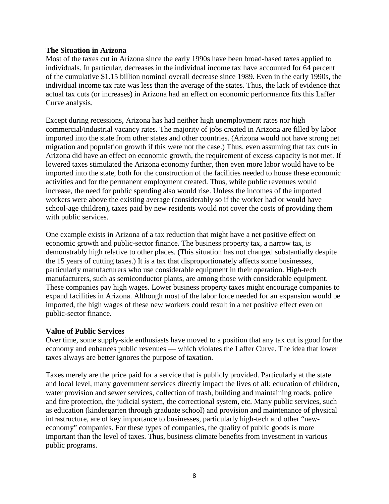#### **The Situation in Arizona**

Most of the taxes cut in Arizona since the early 1990s have been broad-based taxes applied to individuals. In particular, decreases in the individual income tax have accounted for 64 percent of the cumulative \$1.15 billion nominal overall decrease since 1989. Even in the early 1990s, the individual income tax rate was less than the average of the states. Thus, the lack of evidence that actual tax cuts (or increases) in Arizona had an effect on economic performance fits this Laffer Curve analysis.

Except during recessions, Arizona has had neither high unemployment rates nor high commercial/industrial vacancy rates. The majority of jobs created in Arizona are filled by labor imported into the state from other states and other countries. (Arizona would not have strong net migration and population growth if this were not the case.) Thus, even assuming that tax cuts in Arizona did have an effect on economic growth, the requirement of excess capacity is not met. If lowered taxes stimulated the Arizona economy further, then even more labor would have to be imported into the state, both for the construction of the facilities needed to house these economic activities and for the permanent employment created. Thus, while public revenues would increase, the need for public spending also would rise. Unless the incomes of the imported workers were above the existing average (considerably so if the worker had or would have school-age children), taxes paid by new residents would not cover the costs of providing them with public services.

One example exists in Arizona of a tax reduction that might have a net positive effect on economic growth and public-sector finance. The business property tax, a narrow tax, is demonstrably high relative to other places. (This situation has not changed substantially despite the 15 years of cutting taxes.) It is a tax that disproportionately affects some businesses, particularly manufacturers who use considerable equipment in their operation. High-tech manufacturers, such as semiconductor plants, are among those with considerable equipment. These companies pay high wages. Lower business property taxes might encourage companies to expand facilities in Arizona. Although most of the labor force needed for an expansion would be imported, the high wages of these new workers could result in a net positive effect even on public-sector finance.

## **Value of Public Services**

Over time, some supply-side enthusiasts have moved to a position that any tax cut is good for the economy and enhances public revenues — which violates the Laffer Curve. The idea that lower taxes always are better ignores the purpose of taxation.

Taxes merely are the price paid for a service that is publicly provided. Particularly at the state and local level, many government services directly impact the lives of all: education of children, water provision and sewer services, collection of trash, building and maintaining roads, police and fire protection, the judicial system, the correctional system, etc. Many public services, such as education (kindergarten through graduate school) and provision and maintenance of physical infrastructure, are of key importance to businesses, particularly high-tech and other "neweconomy" companies. For these types of companies, the quality of public goods is more important than the level of taxes. Thus, business climate benefits from investment in various public programs.